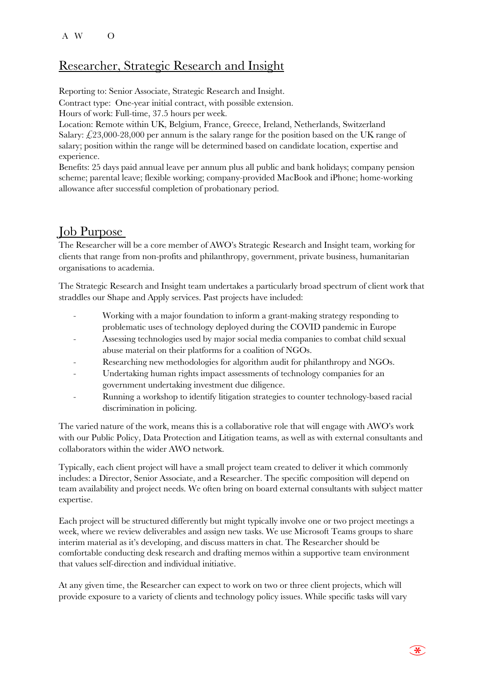## Researcher, Strategic Research and Insight

Reporting to: Senior Associate, Strategic Research and Insight.

Contract type: One-year initial contract, with possible extension.

Hours of work: Full-time, 37.5 hours per week.

Location: Remote within UK, Belgium, France, Greece, Ireland, Netherlands, Switzerland Salary:  $\angle$ 23,000-28,000 per annum is the salary range for the position based on the UK range of salary; position within the range will be determined based on candidate location, expertise and experience.

Benefits: 25 days paid annual leave per annum plus all public and bank holidays; company pension scheme; parental leave; flexible working; company-provided MacBook and iPhone; home-working allowance after successful completion of probationary period.

# Job Purpose

The Researcher will be a core member of AWO's Strategic Research and Insight team, working for clients that range from non-profits and philanthropy, government, private business, humanitarian organisations to academia.

The Strategic Research and Insight team undertakes a particularly broad spectrum of client work that straddles our Shape and Apply services. Past projects have included:

- Working with a major foundation to inform a grant-making strategy responding to problematic uses of technology deployed during the COVID pandemic in Europe
- Assessing technologies used by major social media companies to combat child sexual abuse material on their platforms for a coalition of NGOs.
- Researching new methodologies for algorithm audit for philanthropy and NGOs.
- Undertaking human rights impact assessments of technology companies for an government undertaking investment due diligence.
- Running a workshop to identify litigation strategies to counter technology-based racial discrimination in policing.

The varied nature of the work, means this is a collaborative role that will engage with AWO's work with our Public Policy, Data Protection and Litigation teams, as well as with external consultants and collaborators within the wider AWO network.

Typically, each client project will have a small project team created to deliver it which commonly includes: a Director, Senior Associate, and a Researcher. The specific composition will depend on team availability and project needs. We often bring on board external consultants with subject matter expertise.

Each project will be structured differently but might typically involve one or two project meetings a week, where we review deliverables and assign new tasks. We use Microsoft Teams groups to share interim material as it's developing, and discuss matters in chat. The Researcher should be comfortable conducting desk research and drafting memos within a supportive team environment that values self-direction and individual initiative.

At any given time, the Researcher can expect to work on two or three client projects, which will provide exposure to a variety of clients and technology policy issues. While specific tasks will vary

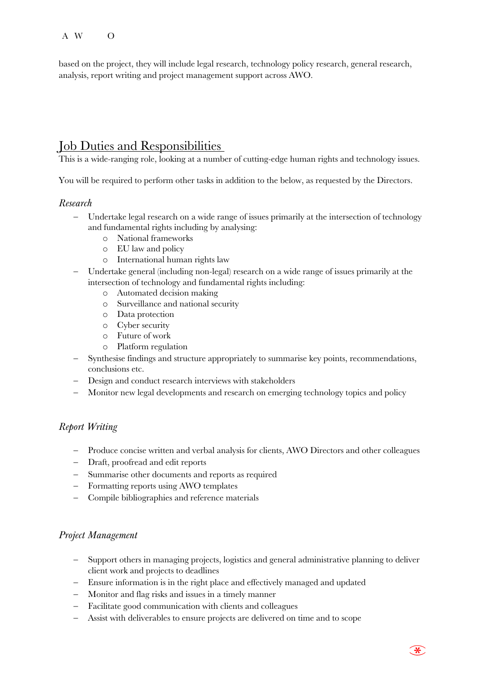#### A W  $\Omega$

based on the project, they will include legal research, technology policy research, general research, analysis, report writing and project management support across AWO.

## Job Duties and Responsibilities

This is a wide-ranging role, looking at a number of cutting-edge human rights and technology issues.

You will be required to perform other tasks in addition to the below, as requested by the Directors.

### *Research*

- Undertake legal research on a wide range of issues primarily at the intersection of technology and fundamental rights including by analysing:
	- o National frameworks
	- o EU law and policy
	- o International human rights law
- Undertake general (including non-legal) research on a wide range of issues primarily at the intersection of technology and fundamental rights including:
	- o Automated decision making
	- o Surveillance and national security
	- o Data protection
	- o Cyber security
	- o Future of work
	- o Platform regulation
- Synthesise findings and structure appropriately to summarise key points, recommendations, conclusions etc.
- Design and conduct research interviews with stakeholders
- Monitor new legal developments and research on emerging technology topics and policy

### *Report Writing*

- Produce concise written and verbal analysis for clients, AWO Directors and other colleagues
- Draft, proofread and edit reports
- Summarise other documents and reports as required
- Formatting reports using AWO templates
- Compile bibliographies and reference materials

### *Project Management*

- Support others in managing projects, logistics and general administrative planning to deliver client work and projects to deadlines
- Ensure information is in the right place and effectively managed and updated
- Monitor and flag risks and issues in a timely manner
- Facilitate good communication with clients and colleagues
- Assist with deliverables to ensure projects are delivered on time and to scope